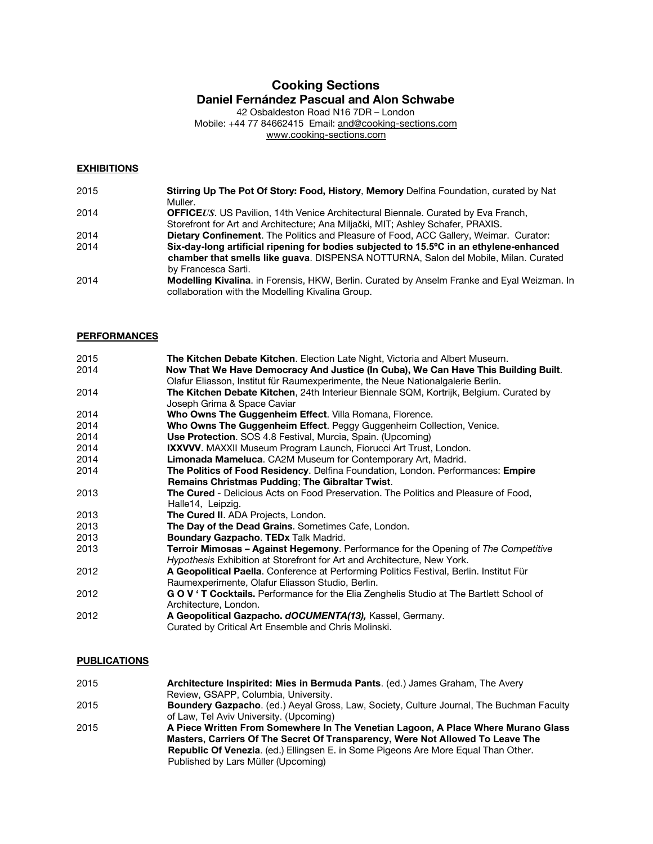# **Cooking Sections Daniel Fernández Pascual and Alon Schwabe**

42 Osbaldeston Road N16 7DR – London Mobile: +44 77 84662415 Email: [and@cooking-sections.com](mailto:and@cooking-sections.com) [www.cooking-sections.com](http://www.cooking-sections.com/)

#### **EXHIBITIONS**

| 2015 | Stirring Up The Pot Of Story: Food, History, Memory Delfina Foundation, curated by Nat       |
|------|----------------------------------------------------------------------------------------------|
|      | Muller.                                                                                      |
| 2014 | <b>OFFICEUS.</b> US Pavilion, 14th Venice Architectural Biennale. Curated by Eva Franch,     |
|      | Storefront for Art and Architecture; Ana Miljački, MIT; Ashley Schafer, PRAXIS.              |
| 2014 | <b>Dietary Confinement.</b> The Politics and Pleasure of Food, ACC Gallery, Weimar. Curator: |
| 2014 | Six-day-long artificial ripening for bodies subjected to 15.5°C in an ethylene-enhanced      |
|      | chamber that smells like guava. DISPENSA NOTTURNA, Salon del Mobile, Milan. Curated          |
|      | by Francesca Sarti.                                                                          |
| 2014 | Modelling Kivalina. in Forensis, HKW, Berlin. Curated by Anselm Franke and Eyal Weizman. In  |
|      | collaboration with the Modelling Kivalina Group.                                             |

#### **PERFORMANCES**

| 2015 | The Kitchen Debate Kitchen. Election Late Night, Victoria and Albert Museum.               |
|------|--------------------------------------------------------------------------------------------|
| 2014 | Now That We Have Democracy And Justice (In Cuba), We Can Have This Building Built.         |
|      | Olafur Eliasson, Institut für Raumexperimente, the Neue Nationalgalerie Berlin.            |
| 2014 | The Kitchen Debate Kitchen, 24th Interieur Biennale SQM, Kortrijk, Belgium. Curated by     |
|      | Joseph Grima & Space Caviar                                                                |
| 2014 | Who Owns The Guggenheim Effect. Villa Romana, Florence.                                    |
| 2014 | Who Owns The Guggenheim Effect. Peggy Guggenheim Collection, Venice.                       |
| 2014 | <b>Use Protection.</b> SOS 4.8 Festival, Murcia, Spain. (Upcoming)                         |
| 2014 | IXXVVV. MAXXII Museum Program Launch, Fiorucci Art Trust, London.                          |
| 2014 | Limonada Mameluca. CA2M Museum for Contemporary Art, Madrid.                               |
| 2014 | The Politics of Food Residency. Delfina Foundation, London. Performances: Empire           |
|      | <b>Remains Christmas Pudding; The Gibraltar Twist.</b>                                     |
| 2013 | <b>The Cured</b> - Delicious Acts on Food Preservation. The Politics and Pleasure of Food, |
|      | Halle14, Leipzig.                                                                          |
| 2013 | The Cured II. ADA Projects, London.                                                        |
| 2013 | The Day of the Dead Grains. Sometimes Cafe, London.                                        |
| 2013 | Boundary Gazpacho. TEDx Talk Madrid.                                                       |
| 2013 | <b>Terroir Mimosas – Against Hegemony.</b> Performance for the Opening of The Competitive  |
|      | Hypothesis Exhibition at Storefront for Art and Architecture, New York.                    |
| 2012 | A Geopolitical Paella. Conference at Performing Politics Festival, Berlin. Institut Für    |
|      | Raumexperimente, Olafur Eliasson Studio, Berlin.                                           |
| 2012 | GOV 'T Cocktails. Performance for the Elia Zenghelis Studio at The Bartlett School of      |
|      | Architecture, London.                                                                      |
| 2012 | A Geopolitical Gazpacho. dOCUMENTA(13), Kassel, Germany.                                   |
|      | Curated by Critical Art Ensemble and Chris Molinski.                                       |
|      |                                                                                            |

#### **PUBLICATIONS**

| 2015 | Architecture Inspirited: Mies in Bermuda Pants. (ed.) James Graham, The Avery             |
|------|-------------------------------------------------------------------------------------------|
|      | Review, GSAPP, Columbia, University.                                                      |
| 2015 | Boundery Gazpacho. (ed.) Aeyal Gross, Law, Society, Culture Journal, The Buchman Faculty  |
|      | of Law, Tel Aviv University. (Upcoming)                                                   |
| 2015 | A Piece Written From Somewhere In The Venetian Lagoon, A Place Where Murano Glass         |
|      | Masters, Carriers Of The Secret Of Transparency, Were Not Allowed To Leave The            |
|      | <b>Republic Of Venezia.</b> (ed.) Ellingsen E. in Some Pigeons Are More Equal Than Other. |
|      | Published by Lars Müller (Upcoming)                                                       |